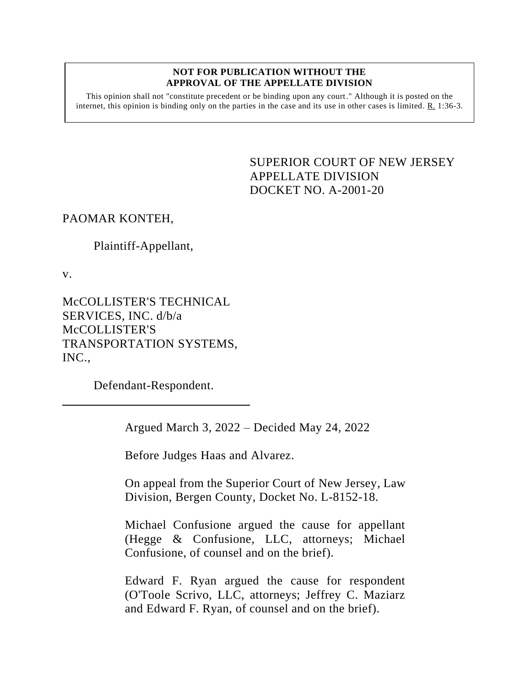#### **NOT FOR PUBLICATION WITHOUT THE APPROVAL OF THE APPELLATE DIVISION**

This opinion shall not "constitute precedent or be binding upon any court." Although it is posted on the internet, this opinion is binding only on the parties in the case and its use in other cases is limited.  $R_1$  1:36-3.

> <span id="page-0-0"></span>SUPERIOR COURT OF NEW JERSEY APPELLATE DIVISION DOCKET NO. A-2001-20

# PAOMAR KONTEH,

# Plaintiff-Appellant,

v.

McCOLLISTER'S TECHNICAL SERVICES, INC. d/b/a McCOLLISTER'S TRANSPORTATION SYSTEMS, INC.,

Defendant-Respondent.

Argued March 3, 2022 – Decided May 24, 2022

Before Judges Haas and Alvarez.

On appeal from the Superior Court of New Jersey, Law Division, Bergen County, Docket No. L-8152-18.

Michael Confusione argued the cause for appellant (Hegge & Confusione, LLC, attorneys; Michael Confusione, of counsel and on the brief).

Edward F. Ryan argued the cause for respondent (O'Toole Scrivo, LLC, attorneys; Jeffrey C. Maziarz and Edward F. Ryan, of counsel and on the brief).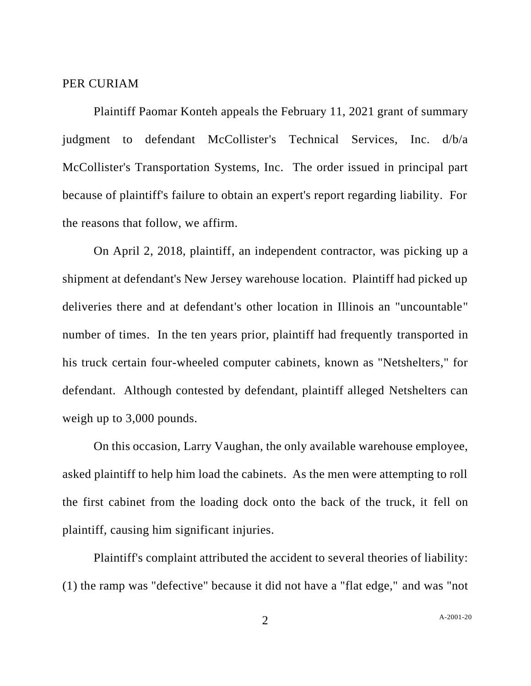#### PER CURIAM

Plaintiff Paomar Konteh appeals the February 11, 2021 grant of summary judgment to defendant McCollister's Technical Services, Inc. d/b/a McCollister's Transportation Systems, Inc. The order issued in principal part because of plaintiff's failure to obtain an expert's report regarding liability. For the reasons that follow, we affirm.

On April 2, 2018, plaintiff, an independent contractor, was picking up a shipment at defendant's New Jersey warehouse location. Plaintiff had picked up deliveries there and at defendant's other location in Illinois an "uncountable" number of times. In the ten years prior, plaintiff had frequently transported in his truck certain four-wheeled computer cabinets, known as "Netshelters," for defendant. Although contested by defendant, plaintiff alleged Netshelters can weigh up to 3,000 pounds.

On this occasion, Larry Vaughan, the only available warehouse employee, asked plaintiff to help him load the cabinets. As the men were attempting to roll the first cabinet from the loading dock onto the back of the truck, it fell on plaintiff, causing him significant injuries.

Plaintiff's complaint attributed the accident to several theories of liability: (1) the ramp was "defective" because it did not have a "flat edge," and was "not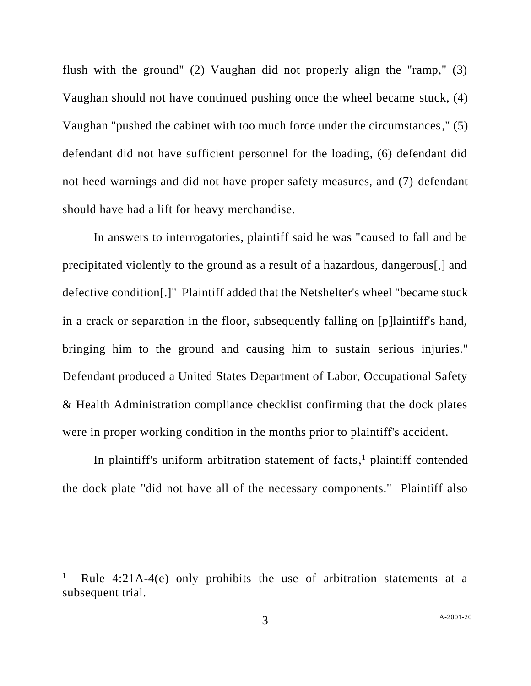flush with the ground" (2) Vaughan did not properly align the "ramp," (3) Vaughan should not have continued pushing once the wheel became stuck, (4) Vaughan "pushed the cabinet with too much force under the circumstances," (5) defendant did not have sufficient personnel for the loading, (6) defendant did not heed warnings and did not have proper safety measures, and (7) defendant should have had a lift for heavy merchandise.

In answers to interrogatories, plaintiff said he was "caused to fall and be precipitated violently to the ground as a result of a hazardous, dangerous[,] and defective condition[.]" Plaintiff added that the Netshelter's wheel "became stuck in a crack or separation in the floor, subsequently falling on [p]laintiff's hand, bringing him to the ground and causing him to sustain serious injuries." Defendant produced a United States Department of Labor, Occupational Safety & Health Administration compliance checklist confirming that the dock plates were in proper working condition in the months prior to plaintiff's accident.

In plaintiff's uniform arbitration statement of facts, <sup>1</sup> plaintiff contended the dock plate "did not have all of the necessary components." Plaintiff also

<sup>1</sup> Rule 4:21A-4(e) only prohibits the use of arbitration statements at a subsequent trial.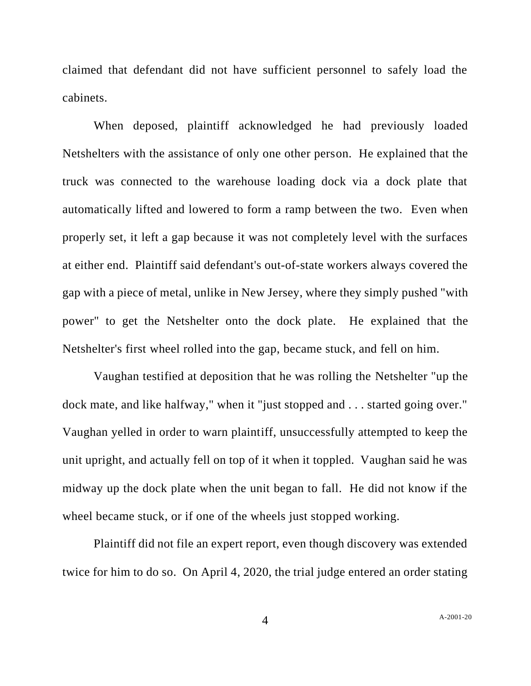claimed that defendant did not have sufficient personnel to safely load the cabinets.

When deposed, plaintiff acknowledged he had previously loaded Netshelters with the assistance of only one other person. He explained that the truck was connected to the warehouse loading dock via a dock plate that automatically lifted and lowered to form a ramp between the two. Even when properly set, it left a gap because it was not completely level with the surfaces at either end. Plaintiff said defendant's out-of-state workers always covered the gap with a piece of metal, unlike in New Jersey, where they simply pushed "with power" to get the Netshelter onto the dock plate. He explained that the Netshelter's first wheel rolled into the gap, became stuck, and fell on him.

Vaughan testified at deposition that he was rolling the Netshelter "up the dock mate, and like halfway," when it "just stopped and . . . started going over." Vaughan yelled in order to warn plaintiff, unsuccessfully attempted to keep the unit upright, and actually fell on top of it when it toppled. Vaughan said he was midway up the dock plate when the unit began to fall. He did not know if the wheel became stuck, or if one of the wheels just stopped working.

Plaintiff did not file an expert report, even though discovery was extended twice for him to do so. On April 4, 2020, the trial judge entered an order stating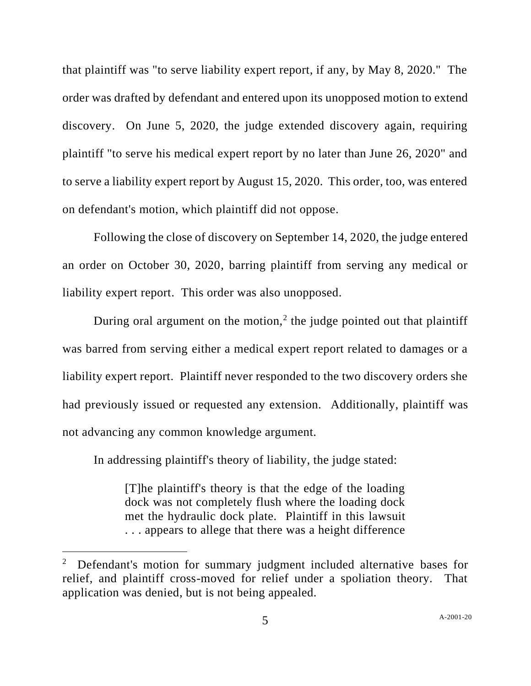that plaintiff was "to serve liability expert report, if any, by May 8, 2020." The order was drafted by defendant and entered upon its unopposed motion to extend discovery. On June 5, 2020, the judge extended discovery again, requiring plaintiff "to serve his medical expert report by no later than June 26, 2020" and to serve a liability expert report by August 15, 2020. This order, too, was entered on defendant's motion, which plaintiff did not oppose.

Following the close of discovery on September 14, 2020, the judge entered an order on October 30, 2020, barring plaintiff from serving any medical or liability expert report. This order was also unopposed.

During oral argument on the motion,<sup>2</sup> the judge pointed out that plaintiff was barred from serving either a medical expert report related to damages or a liability expert report. Plaintiff never responded to the two discovery orders she had previously issued or requested any extension. Additionally, plaintiff was not advancing any common knowledge argument.

In addressing plaintiff's theory of liability, the judge stated:

[T]he plaintiff's theory is that the edge of the loading dock was not completely flush where the loading dock met the hydraulic dock plate. Plaintiff in this lawsuit . . . appears to allege that there was a height difference

 $2$  Defendant's motion for summary judgment included alternative bases for relief, and plaintiff cross-moved for relief under a spoliation theory. That application was denied, but is not being appealed.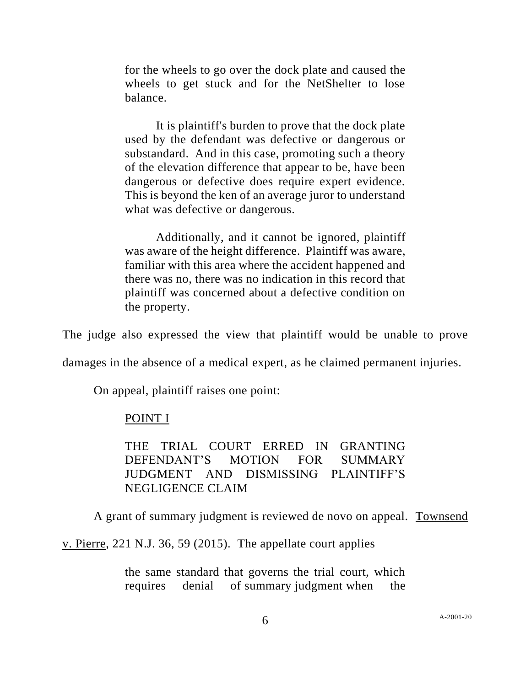for the wheels to go over the dock plate and caused the wheels to get stuck and for the NetShelter to lose balance.

It is plaintiff's burden to prove that the dock plate used by the defendant was defective or dangerous or substandard. And in this case, promoting such a theory of the elevation difference that appear to be, have been dangerous or defective does require expert evidence. This is beyond the ken of an average juror to understand what was defective or dangerous.

Additionally, and it cannot be ignored, plaintiff was aware of the height difference. Plaintiff was aware, familiar with this area where the accident happened and there was no, there was no indication in this record that plaintiff was concerned about a defective condition on the property.

The judge also expressed the view that plaintiff would be unable to prove

damages in the absence of a medical expert, as he claimed permanent injuries.

On appeal, plaintiff raises one point:

### POINT I

THE TRIAL COURT ERRED IN GRANTING DEFENDANT'S MOTION FOR SUMMARY JUDGMENT AND DISMISSING PLAINTIFF'S NEGLIGENCE CLAIM

A grant of summary judgment is reviewed de novo on appeal. Townsend

v. Pierre, 221 N.J. 36, 59 (2015). The appellate court applies

the same standard that governs the trial court, which requires denial of summary judgment when the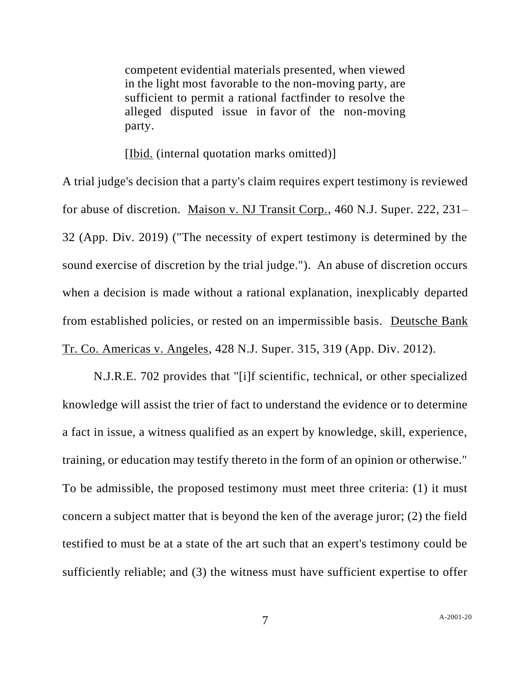competent evidential materials presented, when viewed in the light most favorable to the non-moving party, are sufficient to permit a rational factfinder to resolve the alleged disputed issue in favor of the non-moving party.

[Ibid. (internal quotation marks omitted)]

A trial judge's decision that a party's claim requires expert testimony is reviewed for abuse of discretion. Maison v. NJ Transit Corp., 460 N.J. Super. 222, 231– 32 (App. Div. 2019) ("The necessity of expert testimony is determined by the sound exercise of discretion by the trial judge."). An abuse of discretion occurs when a decision is made without a rational explanation, inexplicably departed from established policies, or rested on an impermissible basis. Deutsche Bank Tr. Co. Americas v. Angeles, 428 N.J. Super. 315, 319 (App. Div. 2012).

N.J.R.E. 702 provides that "[i]f scientific, technical, or other specialized knowledge will assist the trier of fact to understand the evidence or to determine a fact in issue, a witness qualified as an expert by knowledge, skill, experience, training, or education may testify thereto in the form of an opinion or otherwise." To be admissible, the proposed testimony must meet three criteria: (1) it must concern a subject matter that is beyond the ken of the average juror; (2) the field testified to must be at a state of the art such that an expert's testimony could be sufficiently reliable; and (3) the witness must have sufficient expertise to offer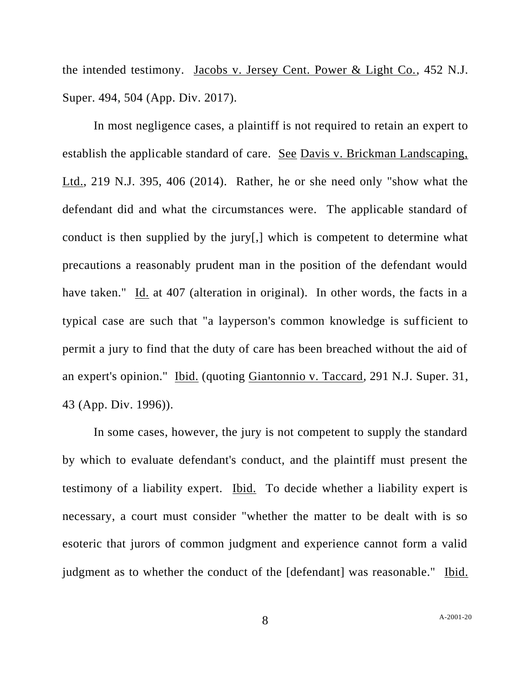the intended testimony. Jacobs v. Jersey Cent. Power & Light Co., 452 N.J. Super. 494, 504 (App. Div. 2017).

In most negligence cases, a plaintiff is not required to retain an expert to establish the applicable standard of care. See Davis v. Brickman Landscaping, Ltd., 219 N.J. 395, 406 (2014). Rather, he or she need only "show what the defendant did and what the circumstances were. The applicable standard of conduct is then supplied by the jury[,] which is competent to determine what precautions a reasonably prudent man in the position of the defendant would have taken." Id. at 407 (alteration in original). In other words, the facts in a typical case are such that "a layperson's common knowledge is sufficient to permit a jury to find that the duty of care has been breached without the aid of an expert's opinion." Ibid. (quoting Giantonnio v. Taccard*,* 291 N.J. Super*.* 31, 43 (App. Div. 1996)).

In some cases, however, the jury is not competent to supply the standard by which to evaluate defendant's conduct, and the plaintiff must present the testimony of a liability expert. Ibid. To decide whether a liability expert is necessary, a court must consider "whether the matter to be dealt with is so esoteric that jurors of common judgment and experience cannot form a valid judgment as to whether the conduct of the [defendant] was reasonable." Ibid.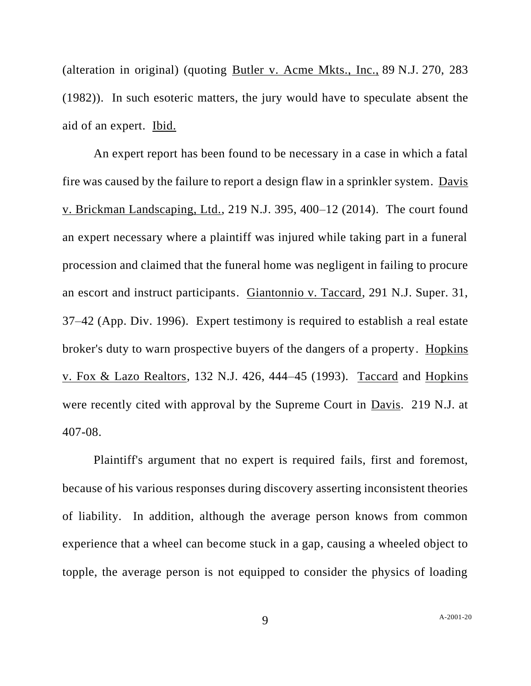(alteration in original) (quoting Butler v. Acme Mkts., Inc., 89 N.J. 270, 283 (1982)). In such esoteric matters, the jury would have to speculate absent the aid of an expert. Ibid.

An expert report has been found to be necessary in a case in which a fatal fire was caused by the failure to report a design flaw in a sprinkler system. Davis v. Brickman Landscaping, Ltd., 219 N.J. 395, 400–12 (2014). The court found an expert necessary where a plaintiff was injured while taking part in a funeral procession and claimed that the funeral home was negligent in failing to procure an escort and instruct participants. Giantonnio v. Taccard, 291 N.J. Super. 31, 37–42 (App. Div. 1996). Expert testimony is required to establish a real estate broker's duty to warn prospective buyers of the dangers of a property. Hopkins v. Fox & Lazo Realtors, 132 N.J. 426, 444–45 (1993). Taccard and Hopkins were recently cited with approval by the Supreme Court in Davis. 219 N.J. at 407-08.

Plaintiff's argument that no expert is required fails, first and foremost, because of his various responses during discovery asserting inconsistent theories of liability. In addition, although the average person knows from common experience that a wheel can become stuck in a gap, causing a wheeled object to topple, the average person is not equipped to consider the physics of loading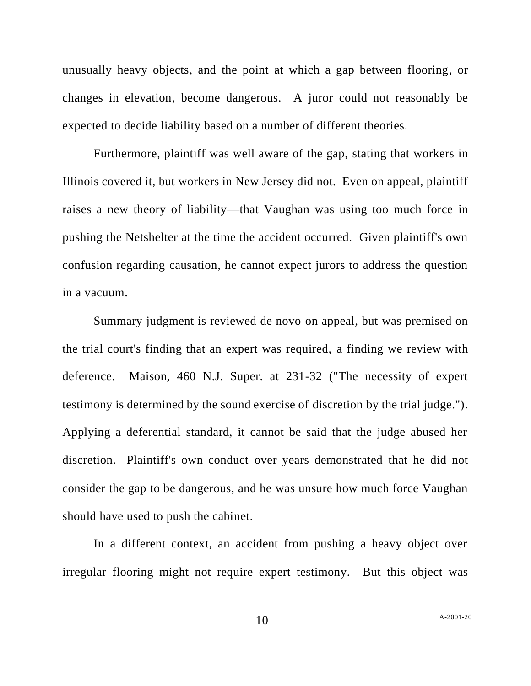unusually heavy objects, and the point at which a gap between flooring, or changes in elevation, become dangerous. A juror could not reasonably be expected to decide liability based on a number of different theories.

Furthermore, plaintiff was well aware of the gap, stating that workers in Illinois covered it, but workers in New Jersey did not. Even on appeal, plaintiff raises a new theory of liability—that Vaughan was using too much force in pushing the Netshelter at the time the accident occurred. Given plaintiff's own confusion regarding causation, he cannot expect jurors to address the question in a vacuum.

Summary judgment is reviewed de novo on appeal, but was premised on the trial court's finding that an expert was required, a finding we review with deference. Maison, 460 N.J. Super. at 231-32 ("The necessity of expert testimony is determined by the sound exercise of discretion by the trial judge."). Applying a deferential standard, it cannot be said that the judge abused her discretion. Plaintiff's own conduct over years demonstrated that he did not consider the gap to be dangerous, and he was unsure how much force Vaughan should have used to push the cabinet.

In a different context, an accident from pushing a heavy object over irregular flooring might not require expert testimony. But this object was